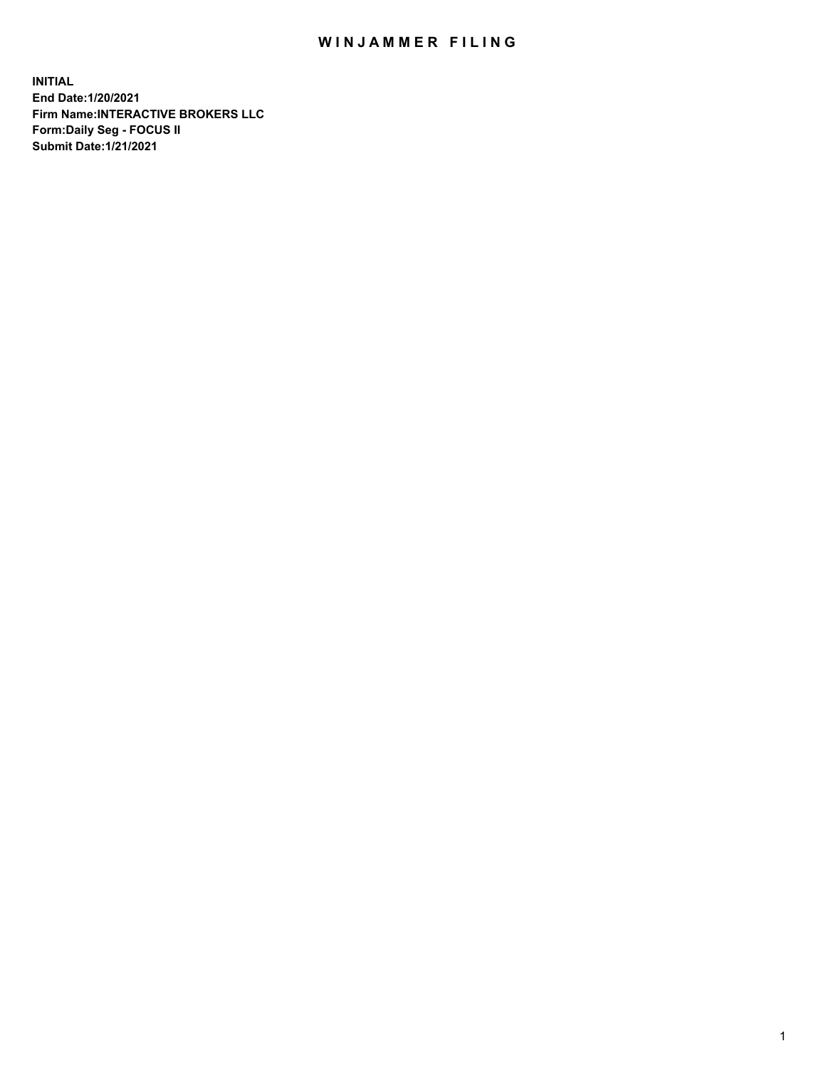## WIN JAMMER FILING

**INITIAL End Date:1/20/2021 Firm Name:INTERACTIVE BROKERS LLC Form:Daily Seg - FOCUS II Submit Date:1/21/2021**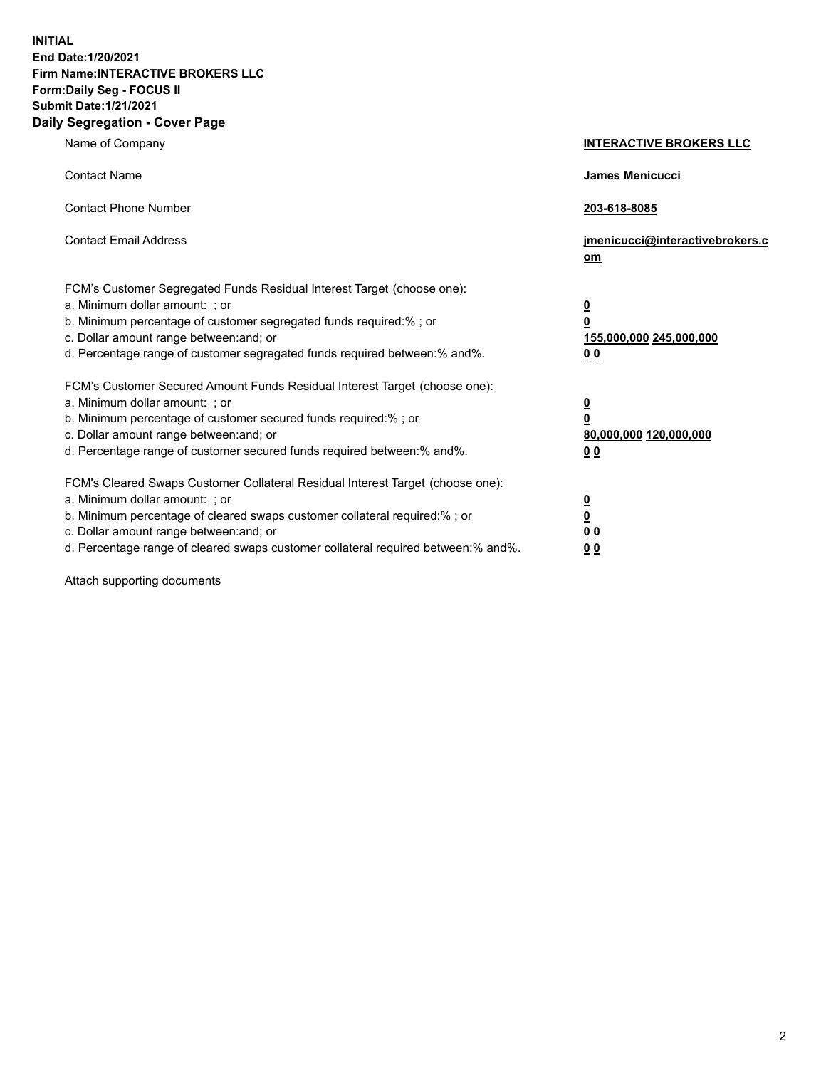**INITIAL End Date:1/20/2021 Firm Name:INTERACTIVE BROKERS LLC Form:Daily Seg - FOCUS II Submit Date:1/21/2021 Daily Segregation - Cover Page**

| Name of Company                                                                                                                                                                                                                                                                                                               | <b>INTERACTIVE BROKERS LLC</b>                                                            |  |
|-------------------------------------------------------------------------------------------------------------------------------------------------------------------------------------------------------------------------------------------------------------------------------------------------------------------------------|-------------------------------------------------------------------------------------------|--|
| <b>Contact Name</b>                                                                                                                                                                                                                                                                                                           | James Menicucci                                                                           |  |
| <b>Contact Phone Number</b>                                                                                                                                                                                                                                                                                                   | 203-618-8085                                                                              |  |
| <b>Contact Email Address</b>                                                                                                                                                                                                                                                                                                  | jmenicucci@interactivebrokers.c<br><u>om</u>                                              |  |
| FCM's Customer Segregated Funds Residual Interest Target (choose one):<br>a. Minimum dollar amount: ; or<br>b. Minimum percentage of customer segregated funds required:% ; or<br>c. Dollar amount range between: and; or<br>d. Percentage range of customer segregated funds required between: % and %.                      | $\overline{\mathbf{0}}$<br>0<br>155,000,000 245,000,000<br>0 <sub>0</sub>                 |  |
| FCM's Customer Secured Amount Funds Residual Interest Target (choose one):<br>a. Minimum dollar amount: ; or<br>b. Minimum percentage of customer secured funds required:%; or<br>c. Dollar amount range between: and; or<br>d. Percentage range of customer secured funds required between:% and%.                           | <u>0</u><br>$\overline{\mathbf{0}}$<br>80,000,000 120,000,000<br>00                       |  |
| FCM's Cleared Swaps Customer Collateral Residual Interest Target (choose one):<br>a. Minimum dollar amount: ; or<br>b. Minimum percentage of cleared swaps customer collateral required:%; or<br>c. Dollar amount range between: and; or<br>d. Percentage range of cleared swaps customer collateral required between:% and%. | <u>0</u><br>$\underline{\mathbf{0}}$<br>$\underline{0}$ $\underline{0}$<br>0 <sub>0</sub> |  |

Attach supporting documents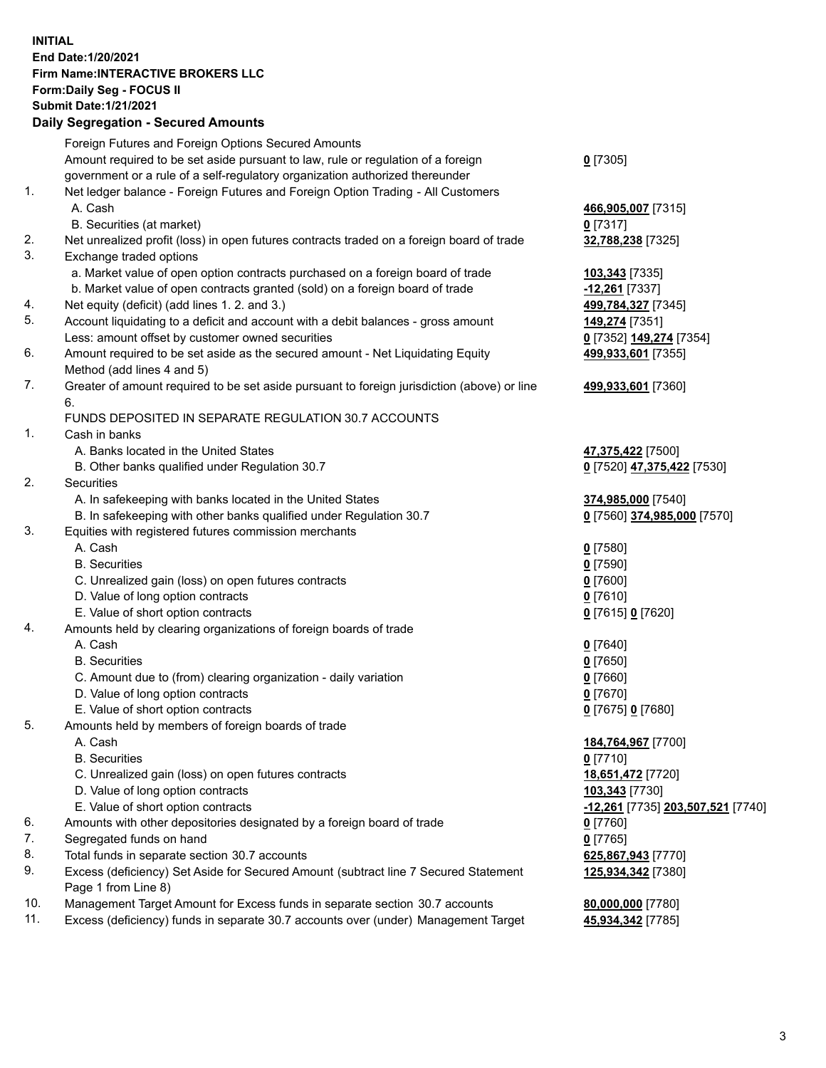**INITIAL End Date:1/20/2021 Firm Name:INTERACTIVE BROKERS LLC Form:Daily Seg - FOCUS II Submit Date:1/21/2021 Daily Segregation - Secured Amounts**

## Foreign Futures and Foreign Options Secured Amounts Amount required to be set aside pursuant to law, rule or regulation of a foreign government or a rule of a self-regulatory organization authorized thereunder **0** [7305] 1. Net ledger balance - Foreign Futures and Foreign Option Trading - All Customers A. Cash **466,905,007** [7315] B. Securities (at market) **0** [7317] 2. Net unrealized profit (loss) in open futures contracts traded on a foreign board of trade **32,788,238** [7325] 3. Exchange traded options a. Market value of open option contracts purchased on a foreign board of trade **103,343** [7335] b. Market value of open contracts granted (sold) on a foreign board of trade **-12,261** [7337] 4. Net equity (deficit) (add lines 1. 2. and 3.) **499,784,327** [7345] 5. Account liquidating to a deficit and account with a debit balances - gross amount **149,274** [7351] Less: amount offset by customer owned securities **0** [7352] **149,274** [7354] 6. Amount required to be set aside as the secured amount - Net Liquidating Equity Method (add lines 4 and 5) **499,933,601** [7355] 7. Greater of amount required to be set aside pursuant to foreign jurisdiction (above) or line 6. **499,933,601** [7360] FUNDS DEPOSITED IN SEPARATE REGULATION 30.7 ACCOUNTS 1. Cash in banks A. Banks located in the United States **47,375,422** [7500] B. Other banks qualified under Regulation 30.7 **0** [7520] **47,375,422** [7530] 2. Securities A. In safekeeping with banks located in the United States **374,985,000** [7540] B. In safekeeping with other banks qualified under Regulation 30.7 **0** [7560] **374,985,000** [7570] 3. Equities with registered futures commission merchants A. Cash **0** [7580] B. Securities **0** [7590] C. Unrealized gain (loss) on open futures contracts **0** [7600] D. Value of long option contracts **0** [7610] E. Value of short option contracts **0** [7615] **0** [7620] 4. Amounts held by clearing organizations of foreign boards of trade A. Cash **0** [7640] B. Securities **0** [7650] C. Amount due to (from) clearing organization - daily variation **0** [7660] D. Value of long option contracts **0** [7670] E. Value of short option contracts **0** [7675] **0** [7680] 5. Amounts held by members of foreign boards of trade A. Cash **184,764,967** [7700] B. Securities **0** [7710] C. Unrealized gain (loss) on open futures contracts **18,651,472** [7720] D. Value of long option contracts **103,343** [7730] E. Value of short option contracts **-12,261** [7735] **203,507,521** [7740] 6. Amounts with other depositories designated by a foreign board of trade **0** [7760] 7. Segregated funds on hand **0** [7765] 8. Total funds in separate section 30.7 accounts **625,867,943** [7770] 9. Excess (deficiency) Set Aside for Secured Amount (subtract line 7 Secured Statement Page 1 from Line 8) **125,934,342** [7380] 10. Management Target Amount for Excess funds in separate section 30.7 accounts **80,000,000** [7780] 11. Excess (deficiency) funds in separate 30.7 accounts over (under) Management Target **45,934,342** [7785]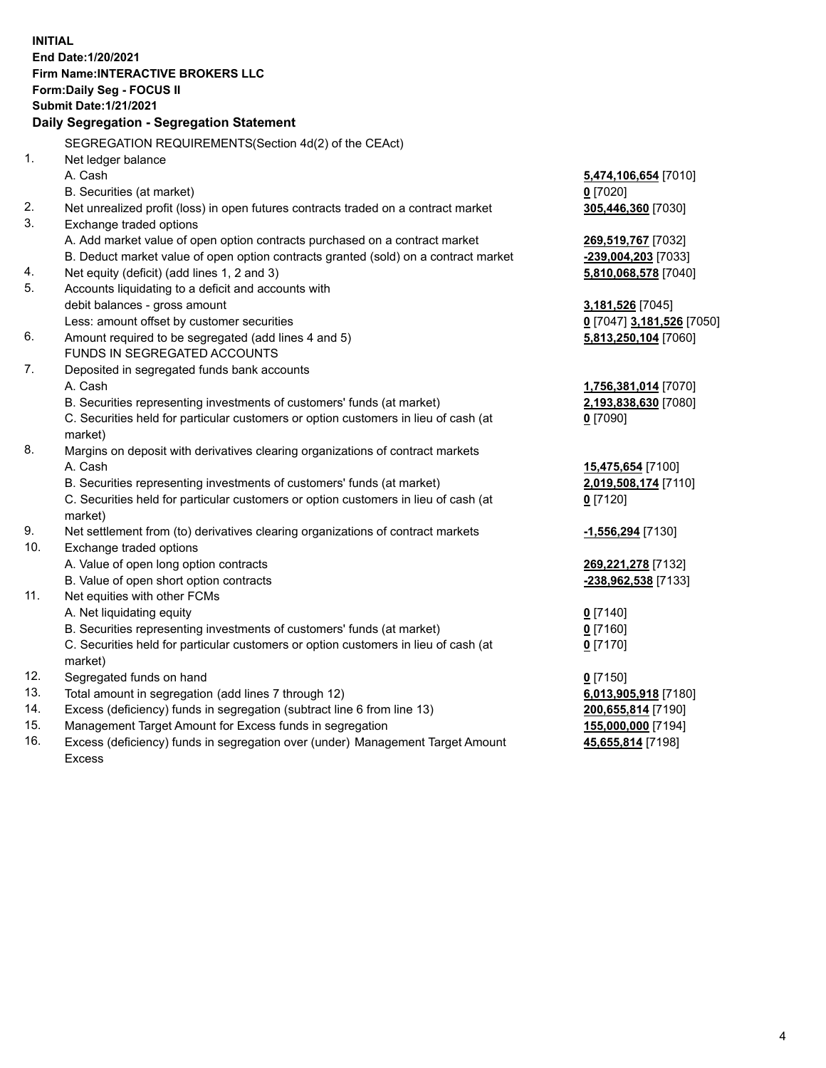**INITIAL End Date:1/20/2021 Firm Name:INTERACTIVE BROKERS LLC Form:Daily Seg - FOCUS II Submit Date:1/21/2021 Daily Segregation - Segregation Statement** SEGREGATION REQUIREMENTS(Section 4d(2) of the CEAct) 1. Net ledger balance A. Cash **5,474,106,654** [7010] B. Securities (at market) **0** [7020] 2. Net unrealized profit (loss) in open futures contracts traded on a contract market **305,446,360** [7030] 3. Exchange traded options A. Add market value of open option contracts purchased on a contract market **269,519,767** [7032] B. Deduct market value of open option contracts granted (sold) on a contract market **-239,004,203** [7033] 4. Net equity (deficit) (add lines 1, 2 and 3) **5,810,068,578** [7040] 5. Accounts liquidating to a deficit and accounts with debit balances - gross amount **3,181,526** [7045] Less: amount offset by customer securities **0** [7047] **3,181,526** [7050] 6. Amount required to be segregated (add lines 4 and 5) **5,813,250,104** [7060] FUNDS IN SEGREGATED ACCOUNTS 7. Deposited in segregated funds bank accounts A. Cash **1,756,381,014** [7070] B. Securities representing investments of customers' funds (at market) **2,193,838,630** [7080] C. Securities held for particular customers or option customers in lieu of cash (at market) **0** [7090] 8. Margins on deposit with derivatives clearing organizations of contract markets A. Cash **15,475,654** [7100] B. Securities representing investments of customers' funds (at market) **2,019,508,174** [7110] C. Securities held for particular customers or option customers in lieu of cash (at market) **0** [7120] 9. Net settlement from (to) derivatives clearing organizations of contract markets **-1,556,294** [7130] 10. Exchange traded options A. Value of open long option contracts **269,221,278** [7132] B. Value of open short option contracts **-238,962,538** [7133] 11. Net equities with other FCMs A. Net liquidating equity **0** [7140] B. Securities representing investments of customers' funds (at market) **0** [7160] C. Securities held for particular customers or option customers in lieu of cash (at market) **0** [7170] 12. Segregated funds on hand **0** [7150] 13. Total amount in segregation (add lines 7 through 12) **6,013,905,918** [7180] 14. Excess (deficiency) funds in segregation (subtract line 6 from line 13) **200,655,814** [7190] 15. Management Target Amount for Excess funds in segregation **155,000,000** [7194]

16. Excess (deficiency) funds in segregation over (under) Management Target Amount Excess

**45,655,814** [7198]